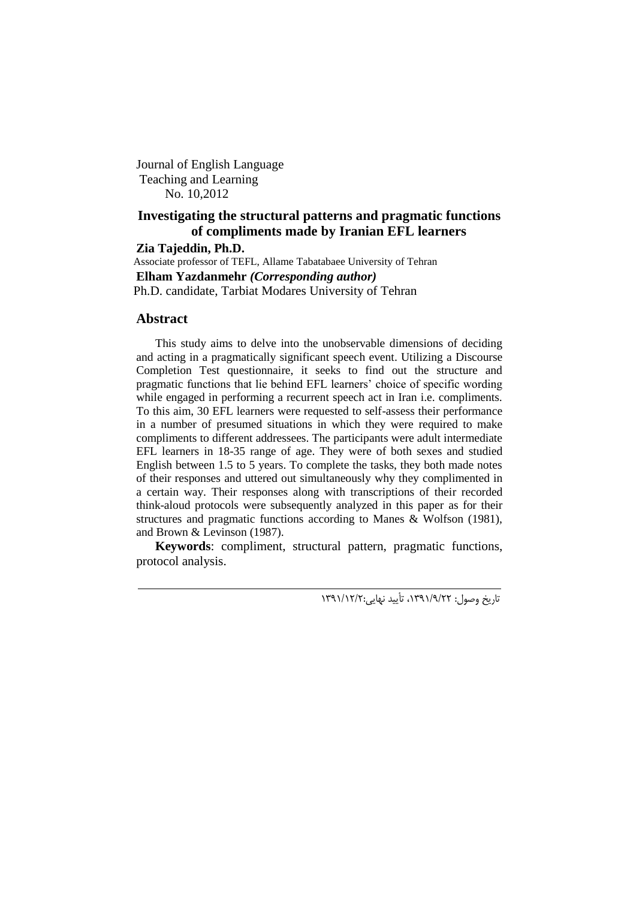Journal of English Language Teaching and Learning No. 10,2012

## **Investigating the structural patterns and pragmatic functions of compliments made by Iranian EFL learners**

**Zia Tajeddin, Ph.D.**

Associate professor of TEFL, Allame Tabatabaee University of Tehran **Elham Yazdanmehr** *(Corresponding author)* Ph.D. candidate, Tarbiat Modares University of Tehran

#### **Abstract**

This study aims to delve into the unobservable dimensions of deciding and acting in a pragmatically significant speech event. Utilizing a Discourse Completion Test questionnaire, it seeks to find out the structure and pragmatic functions that lie behind EFL learners' choice of specific wording while engaged in performing a recurrent speech act in Iran i.e. compliments. To this aim, 30 EFL learners were requested to self-assess their performance in a number of presumed situations in which they were required to make compliments to different addressees. The participants were adult intermediate EFL learners in 18-35 range of age. They were of both sexes and studied English between 1.5 to 5 years. To complete the tasks, they both made notes of their responses and uttered out simultaneously why they complimented in a certain way. Their responses along with transcriptions of their recorded think-aloud protocols were subsequently analyzed in this paper as for their structures and pragmatic functions according to Manes & Wolfson (1981), and Brown & Levinson (1987).

**Keywords**: compliment, structural pattern, pragmatic functions, protocol analysis.

تاریخ وصول: ،1991/9/22 تأیید نهایی1991/12/2: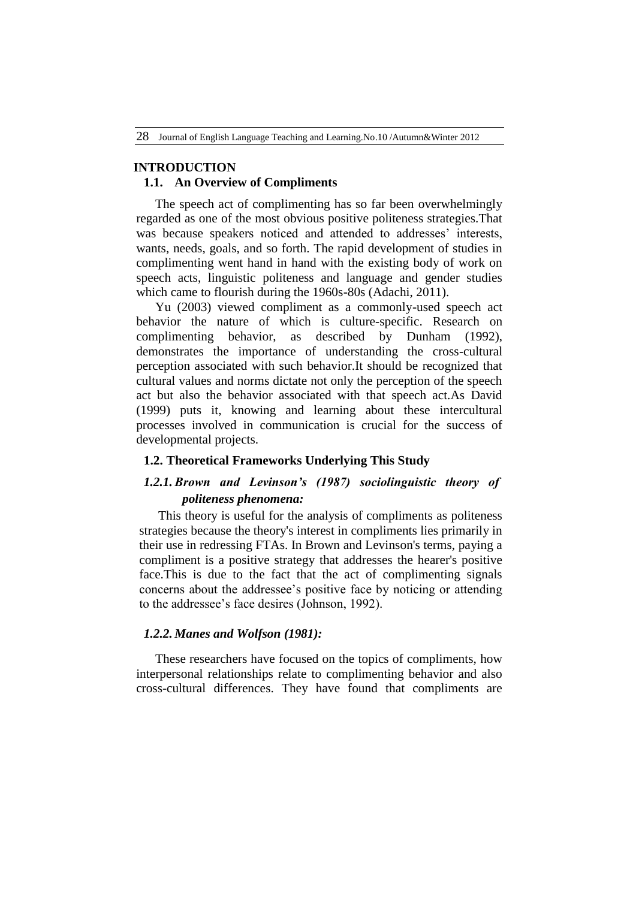#### **INTRODUCTION**

## **1.1. An Overview of Compliments**

The speech act of complimenting has so far been overwhelmingly regarded as one of the most obvious positive politeness strategies.That was because speakers noticed and attended to addresses' interests, wants, needs, goals, and so forth. The rapid development of studies in complimenting went hand in hand with the existing body of work on speech acts, linguistic politeness and language and gender studies which came to flourish during the 1960s-80s (Adachi, 2011).

Yu (2003) viewed compliment as a commonly-used speech act behavior the nature of which is culture-specific. Research on complimenting behavior, as described by Dunham (1992), demonstrates the importance of understanding the cross-cultural perception associated with such behavior.It should be recognized that cultural values and norms dictate not only the perception of the speech act but also the behavior associated with that speech act.As David (1999) puts it, knowing and learning about these intercultural processes involved in communication is crucial for the success of developmental projects.

### **1.2. Theoretical Frameworks Underlying This Study**

## *1.2.1.Brown and Levinson's (1987) sociolinguistic theory of politeness phenomena:*

This theory is useful for the analysis of compliments as politeness strategies because the theory's interest in compliments lies primarily in their use in redressing FTAs. In Brown and Levinson's terms, paying a compliment is a positive strategy that addresses the hearer's positive face.This is due to the fact that the act of complimenting signals concerns about the addressee's positive face by noticing or attending to the addressee's face desires (Johnson, 1992).

## *1.2.2. Manes and Wolfson (1981):*

These researchers have focused on the topics of compliments, how interpersonal relationships relate to complimenting behavior and also cross-cultural differences. They have found that compliments are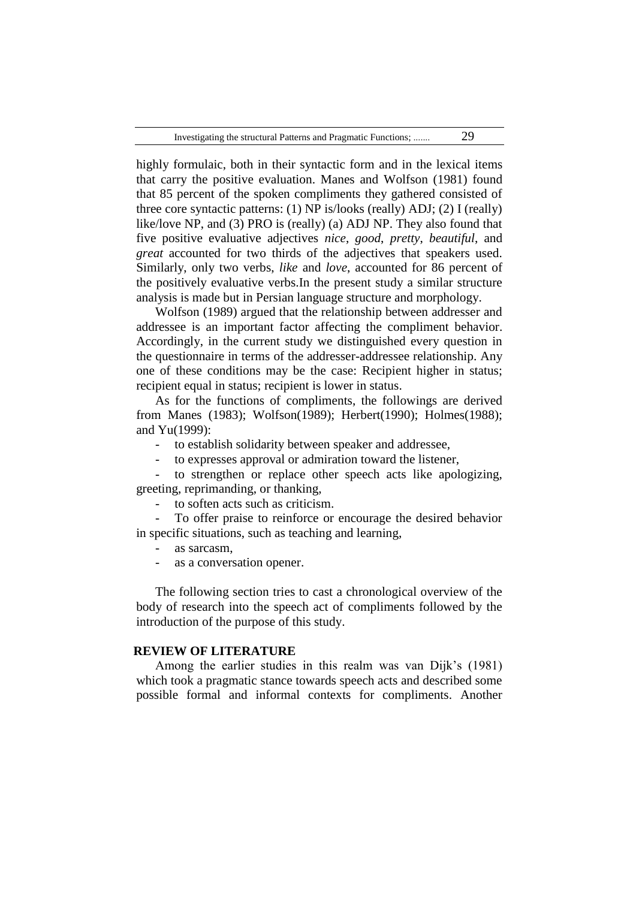highly formulaic, both in their syntactic form and in the lexical items that carry the positive evaluation. Manes and Wolfson (1981) found that 85 percent of the spoken compliments they gathered consisted of three core syntactic patterns: (1) NP is/looks (really) ADJ; (2) I (really) like/love NP, and (3) PRO is (really) (a) ADJ NP. They also found that five positive evaluative adjectives *nice*, *good*, *pretty*, *beautiful*, and *great* accounted for two thirds of the adjectives that speakers used. Similarly, only two verbs, *like* and *love*, accounted for 86 percent of the positively evaluative verbs.In the present study a similar structure analysis is made but in Persian language structure and morphology.

Wolfson (1989) argued that the relationship between addresser and addressee is an important factor affecting the compliment behavior. Accordingly, in the current study we distinguished every question in the questionnaire in terms of the addresser-addressee relationship. Any one of these conditions may be the case: Recipient higher in status; recipient equal in status; recipient is lower in status.

As for the functions of compliments, the followings are derived from Manes (1983); Wolfson(1989); Herbert(1990); Holmes(1988); and Yu(1999):

- to establish solidarity between speaker and addressee,
- to expresses approval or admiration toward the listener,

to strengthen or replace other speech acts like apologizing, greeting, reprimanding, or thanking,

to soften acts such as criticism.

To offer praise to reinforce or encourage the desired behavior in specific situations, such as teaching and learning,

- as sarcasm,
- as a conversation opener.

The following section tries to cast a chronological overview of the body of research into the speech act of compliments followed by the introduction of the purpose of this study.

#### **REVIEW OF LITERATURE**

Among the earlier studies in this realm was van Dijk's (1981) which took a pragmatic stance towards speech acts and described some possible formal and informal contexts for compliments. Another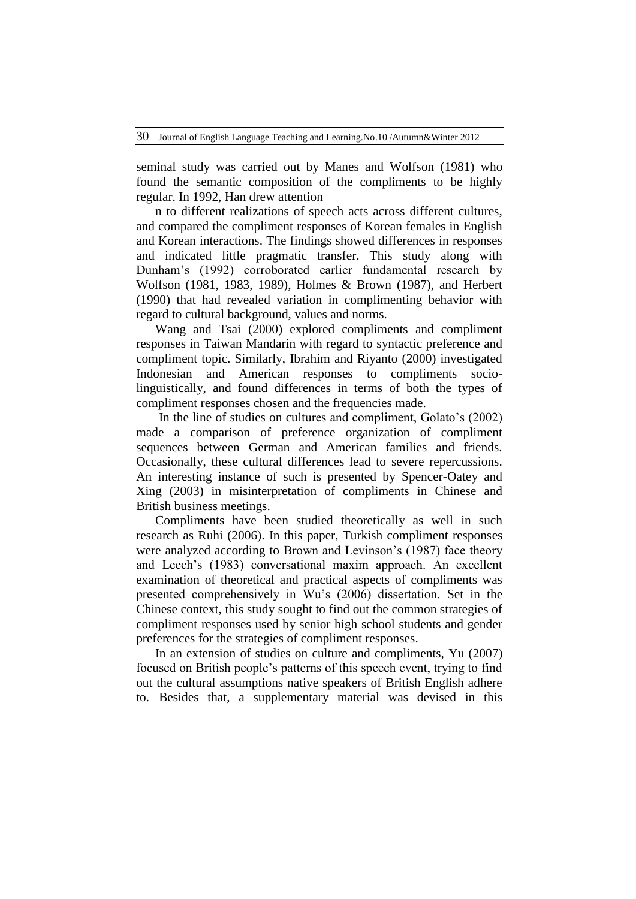seminal study was carried out by Manes and Wolfson (1981) who found the semantic composition of the compliments to be highly regular. In 1992, Han drew attention

n to different realizations of speech acts across different cultures, and compared the compliment responses of Korean females in English and Korean interactions. The findings showed differences in responses and indicated little pragmatic transfer. This study along with Dunham's (1992) corroborated earlier fundamental research by Wolfson (1981, 1983, 1989), Holmes & Brown (1987), and Herbert (1990) that had revealed variation in complimenting behavior with regard to cultural background, values and norms.

Wang and Tsai (2000) explored compliments and compliment responses in Taiwan Mandarin with regard to syntactic preference and compliment topic. Similarly, Ibrahim and Riyanto (2000) investigated Indonesian and American responses to compliments sociolinguistically, and found differences in terms of both the types of compliment responses chosen and the frequencies made.

In the line of studies on cultures and compliment, Golato's (2002) made a comparison of preference organization of compliment sequences between German and American families and friends. Occasionally, these cultural differences lead to severe repercussions. An interesting instance of such is presented by Spencer-Oatey and Xing (2003) in misinterpretation of compliments in Chinese and British business meetings.

Compliments have been studied theoretically as well in such research as Ruhi (2006). In this paper, Turkish compliment responses were analyzed according to Brown and Levinson's (1987) face theory and Leech's (1983) conversational maxim approach. An excellent examination of theoretical and practical aspects of compliments was presented comprehensively in Wu's (2006) dissertation. Set in the Chinese context, this study sought to find out the common strategies of compliment responses used by senior high school students and gender preferences for the strategies of compliment responses.

In an extension of studies on culture and compliments, Yu (2007) focused on British people's patterns of this speech event, trying to find out the cultural assumptions native speakers of British English adhere to. Besides that, a supplementary material was devised in this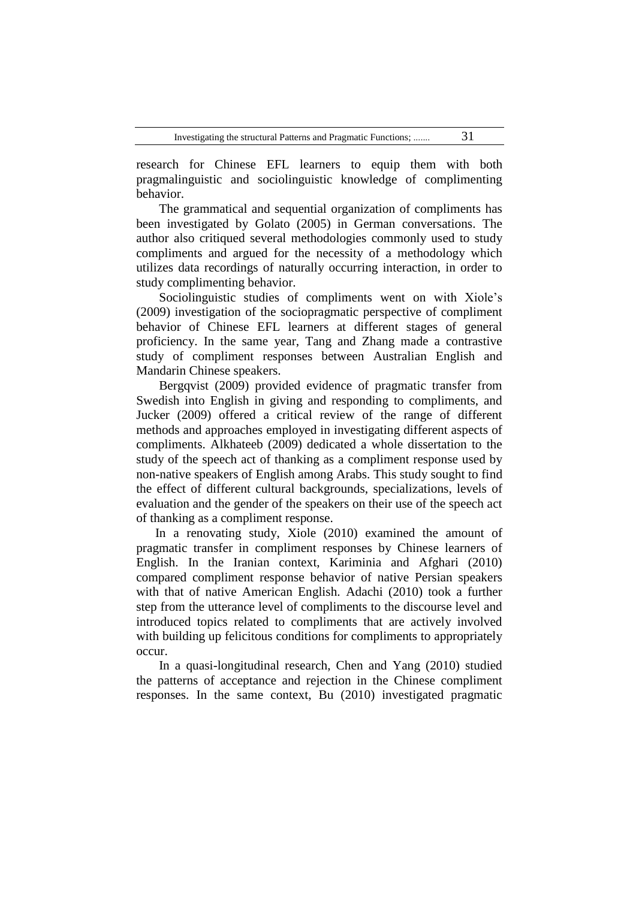| Investigating the structural Patterns and Pragmatic Functions; |  |  |
|----------------------------------------------------------------|--|--|
|----------------------------------------------------------------|--|--|

research for Chinese EFL learners to equip them with both pragmalinguistic and sociolinguistic knowledge of complimenting behavior.

The grammatical and sequential organization of compliments has been investigated by Golato (2005) in German conversations. The author also critiqued several methodologies commonly used to study compliments and argued for the necessity of a methodology which utilizes data recordings of naturally occurring interaction, in order to study complimenting behavior.

Sociolinguistic studies of compliments went on with Xiole's (2009) investigation of the sociopragmatic perspective of compliment behavior of Chinese EFL learners at different stages of general proficiency. In the same year, Tang and Zhang made a contrastive study of compliment responses between Australian English and Mandarin Chinese speakers.

Bergqvist (2009) provided evidence of pragmatic transfer from Swedish into English in giving and responding to compliments, and Jucker (2009) offered a critical review of the range of different methods and approaches employed in investigating different aspects of compliments. Alkhateeb (2009) dedicated a whole dissertation to the study of the speech act of thanking as a compliment response used by non-native speakers of English among Arabs. This study sought to find the effect of different cultural backgrounds, specializations, levels of evaluation and the gender of the speakers on their use of the speech act of thanking as a compliment response.

In a renovating study, Xiole (2010) examined the amount of pragmatic transfer in compliment responses by Chinese learners of English. In the Iranian context, Kariminia and Afghari (2010) compared compliment response behavior of native Persian speakers with that of native American English. Adachi (2010) took a further step from the utterance level of compliments to the discourse level and introduced topics related to compliments that are actively involved with building up felicitous conditions for compliments to appropriately occur.

In a quasi-longitudinal research, Chen and Yang (2010) studied the patterns of acceptance and rejection in the Chinese compliment responses. In the same context, Bu (2010) investigated pragmatic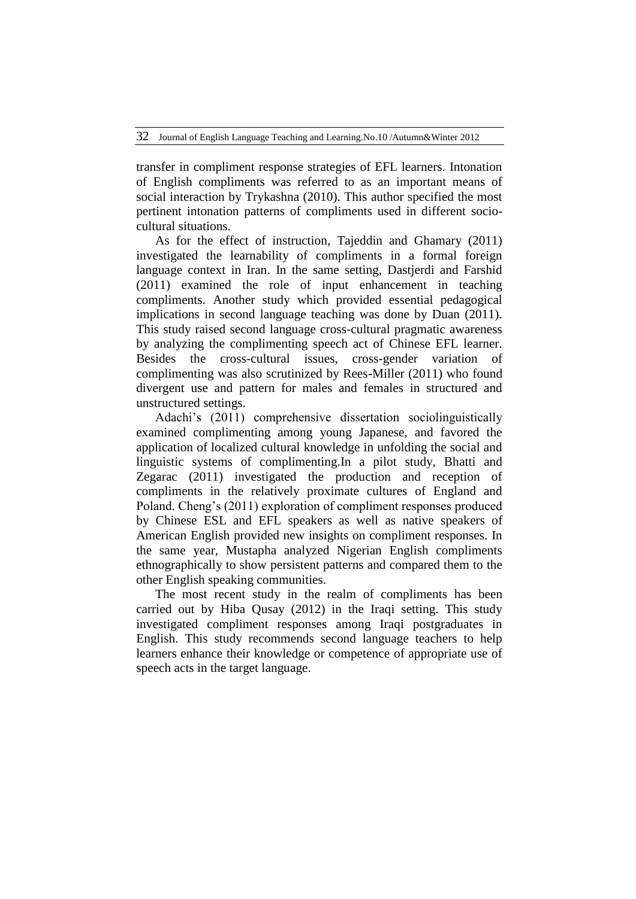transfer in compliment response strategies of EFL learners. Intonation of English compliments was referred to as an important means of social interaction by Trykashna (2010). This author specified the most pertinent intonation patterns of compliments used in different sociocultural situations.

As for the effect of instruction, Tajeddin and Ghamary (2011) investigated the learnability of compliments in a formal foreign language context in Iran. In the same setting, Dastjerdi and Farshid (2011) examined the role of input enhancement in teaching compliments. Another study which provided essential pedagogical implications in second language teaching was done by Duan (2011). This study raised second language cross-cultural pragmatic awareness by analyzing the complimenting speech act of Chinese EFL learner. Besides the cross-cultural issues, cross-gender variation of complimenting was also scrutinized by Rees-Miller (2011) who found divergent use and pattern for males and females in structured and unstructured settings.

Adachi's (2011) comprehensive dissertation sociolinguistically examined complimenting among young Japanese, and favored the application of localized cultural knowledge in unfolding the social and linguistic systems of complimenting.In a pilot study, Bhatti and Zegarac (2011) investigated the production and reception of compliments in the relatively proximate cultures of England and Poland. Cheng's (2011) exploration of compliment responses produced by Chinese ESL and EFL speakers as well as native speakers of American English provided new insights on compliment responses. In the same year, Mustapha analyzed Nigerian English compliments ethnographically to show persistent patterns and compared them to the other English speaking communities.

The most recent study in the realm of compliments has been carried out by Hiba Qusay (2012) in the Iraqi setting. This study investigated compliment responses among Iraqi postgraduates in English. This study recommends second language teachers to help learners enhance their knowledge or competence of appropriate use of speech acts in the target language.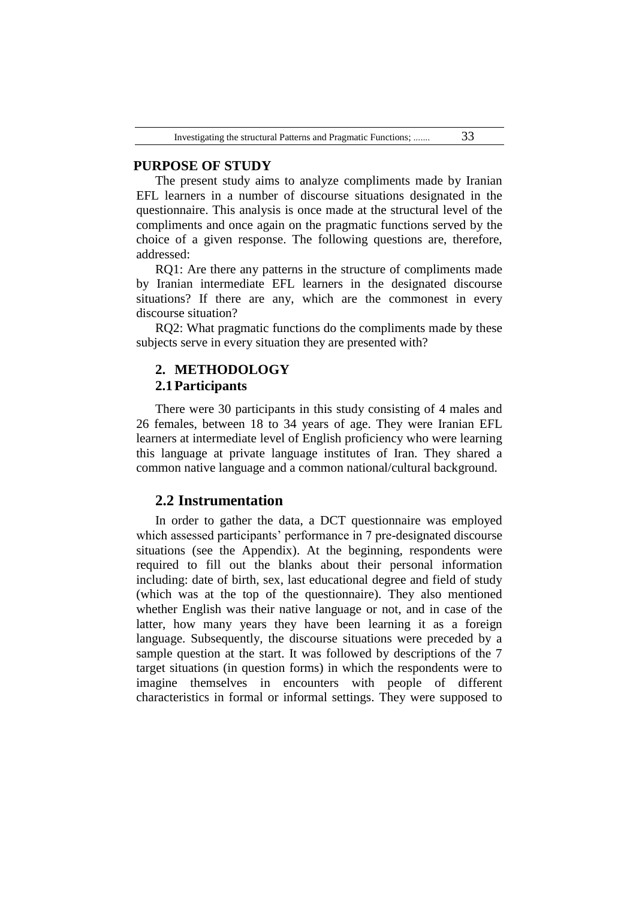#### **PURPOSE OF STUDY**

The present study aims to analyze compliments made by Iranian EFL learners in a number of discourse situations designated in the questionnaire. This analysis is once made at the structural level of the compliments and once again on the pragmatic functions served by the choice of a given response. The following questions are, therefore, addressed:

RQ1: Are there any patterns in the structure of compliments made by Iranian intermediate EFL learners in the designated discourse situations? If there are any, which are the commonest in every discourse situation?

RQ2: What pragmatic functions do the compliments made by these subjects serve in every situation they are presented with?

# **2. METHODOLOGY**

## **2.1Participants**

There were 30 participants in this study consisting of 4 males and 26 females, between 18 to 34 years of age. They were Iranian EFL learners at intermediate level of English proficiency who were learning this language at private language institutes of Iran. They shared a common native language and a common national/cultural background.

#### **2.2 Instrumentation**

In order to gather the data, a DCT questionnaire was employed which assessed participants' performance in 7 pre-designated discourse situations (see the Appendix). At the beginning, respondents were required to fill out the blanks about their personal information including: date of birth, sex, last educational degree and field of study (which was at the top of the questionnaire). They also mentioned whether English was their native language or not, and in case of the latter, how many years they have been learning it as a foreign language. Subsequently, the discourse situations were preceded by a sample question at the start. It was followed by descriptions of the 7 target situations (in question forms) in which the respondents were to imagine themselves in encounters with people of different characteristics in formal or informal settings. They were supposed to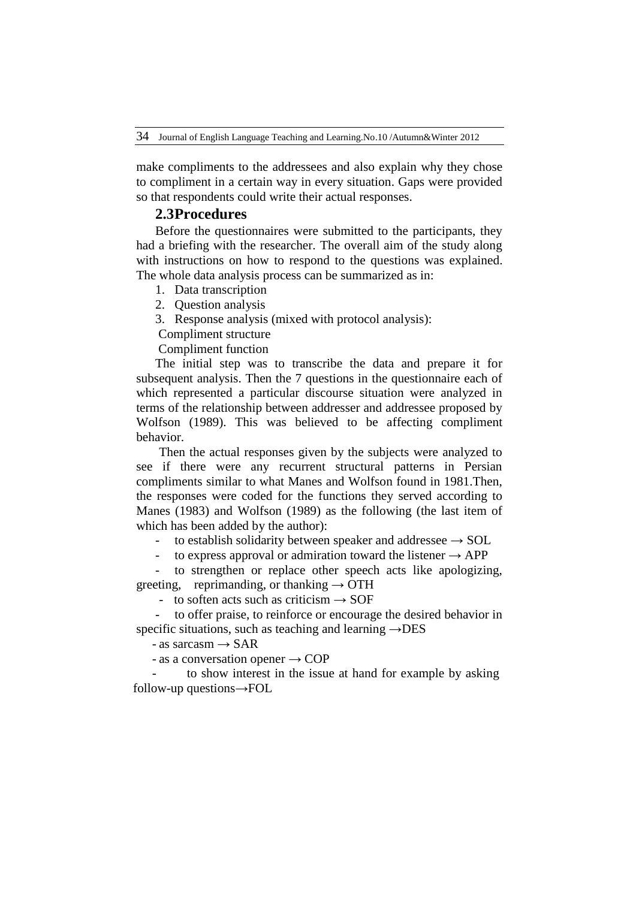make compliments to the addressees and also explain why they chose to compliment in a certain way in every situation. Gaps were provided so that respondents could write their actual responses.

#### **2.3Procedures**

Before the questionnaires were submitted to the participants, they had a briefing with the researcher. The overall aim of the study along with instructions on how to respond to the questions was explained. The whole data analysis process can be summarized as in:

- 1. Data transcription
- 2. Question analysis
- 3. Response analysis (mixed with protocol analysis):

Compliment structure

Compliment function

The initial step was to transcribe the data and prepare it for subsequent analysis. Then the 7 questions in the questionnaire each of which represented a particular discourse situation were analyzed in terms of the relationship between addresser and addressee proposed by Wolfson (1989). This was believed to be affecting compliment behavior.

Then the actual responses given by the subjects were analyzed to see if there were any recurrent structural patterns in Persian compliments similar to what Manes and Wolfson found in 1981.Then, the responses were coded for the functions they served according to Manes (1983) and Wolfson (1989) as the following (the last item of which has been added by the author):

to establish solidarity between speaker and addressee  $\rightarrow$  SOL

to express approval or admiration toward the listener  $\rightarrow$  APP

to strengthen or replace other speech acts like apologizing, greeting, reprimanding, or thanking  $\rightarrow$  OTH

- to soften acts such as criticism  $\rightarrow$  SOF

to offer praise, to reinforce or encourage the desired behavior in specific situations, such as teaching and learning  $\rightarrow$ DES

 $-$  as sarcasm  $\rightarrow$  SAR

 $-$  as a conversation opener  $\rightarrow$  COP

to show interest in the issue at hand for example by asking follow-up questions→FOL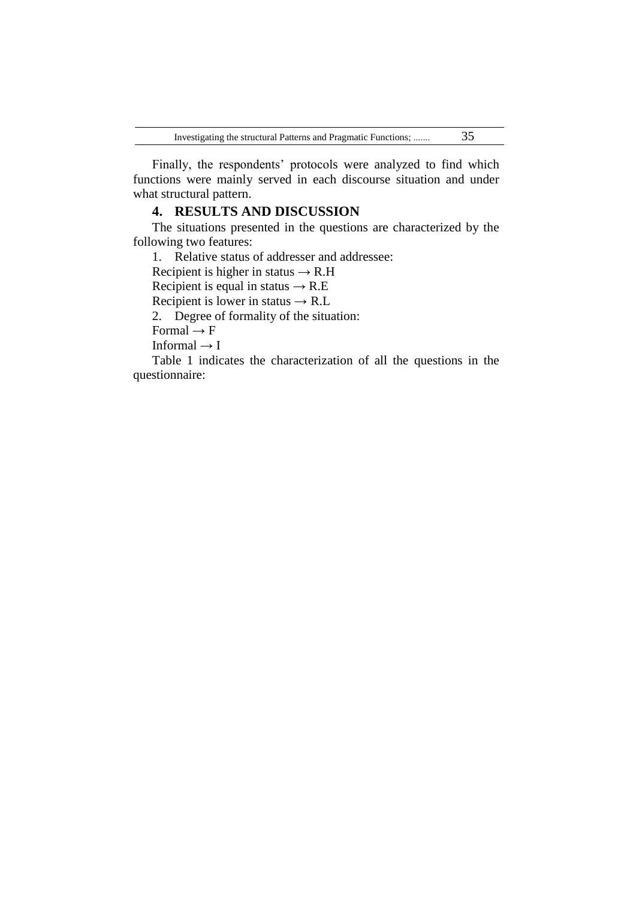Finally, the respondents' protocols were analyzed to find which functions were mainly served in each discourse situation and under what structural pattern.

## **4. RESULTS AND DISCUSSION**

The situations presented in the questions are characterized by the following two features:

1. Relative status of addresser and addressee:

Recipient is higher in status  $\rightarrow$  R.H

Recipient is equal in status  $\rightarrow$  R.E

Recipient is lower in status  $\rightarrow$  R.L

2. Degree of formality of the situation:

Formal  $\rightarrow$  F

Informal  $\rightarrow$  I

Table 1 indicates the characterization of all the questions in the questionnaire: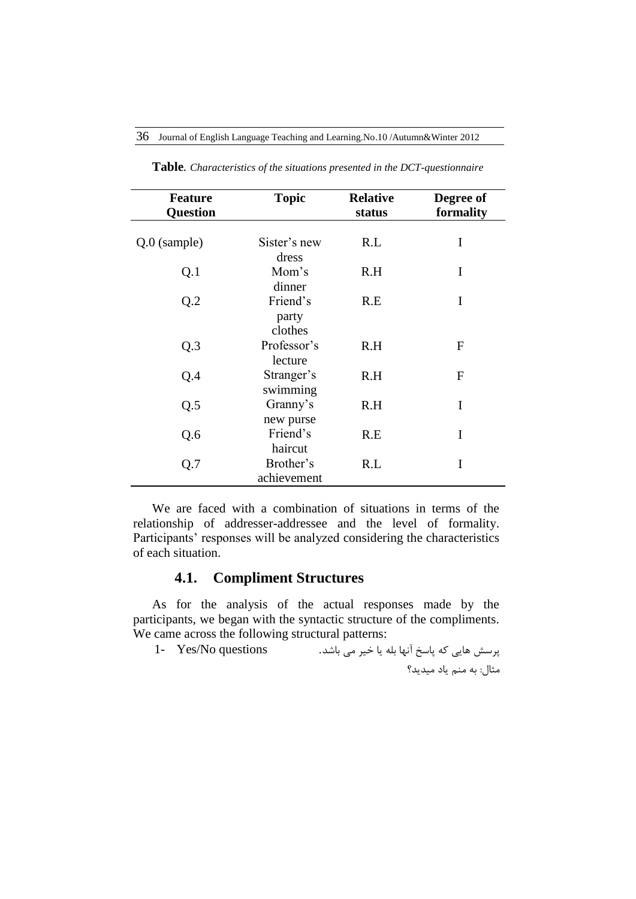#### 36 Journal of English Language Teaching and Learning.No.10 /Autumn&Winter 2012

| <b>Feature</b><br>Question | <b>Topic</b>                 | <b>Relative</b><br>status | Degree of<br>formality |
|----------------------------|------------------------------|---------------------------|------------------------|
| $Q.0$ (sample)             | Sister's new<br>dress        | R.L                       | I                      |
| Q.1                        | Mom's<br>dinner              | R.H                       | I                      |
| Q.2                        | Friend's<br>party<br>clothes | R.E                       | I                      |
| Q.3                        | Professor's<br>lecture       | R.H                       | F                      |
| Q.4                        | Stranger's<br>swimming       | R.H                       | $\mathbf{F}$           |
| Q.5                        | Granny's<br>new purse        | R.H                       | I                      |
| Q.6                        | Friend's<br>haircut          | R.E                       | I                      |
| Q.7                        | Brother's<br>achievement     | R.L                       | I                      |

**Table***. Characteristics of the situations presented in the DCT-questionnaire*

We are faced with a combination of situations in terms of the relationship of addresser-addressee and the level of formality. Participants' responses will be analyzed considering the characteristics of each situation.

# **4.1. Compliment Structures**

As for the analysis of the actual responses made by the participants, we began with the syntactic structure of the compliments. We came across the following structural patterns:

پرسش هایی که پاسخ آنها بله یا خیر می باشد. questions No/Yes 1- مثال: به منم یاد میدید؟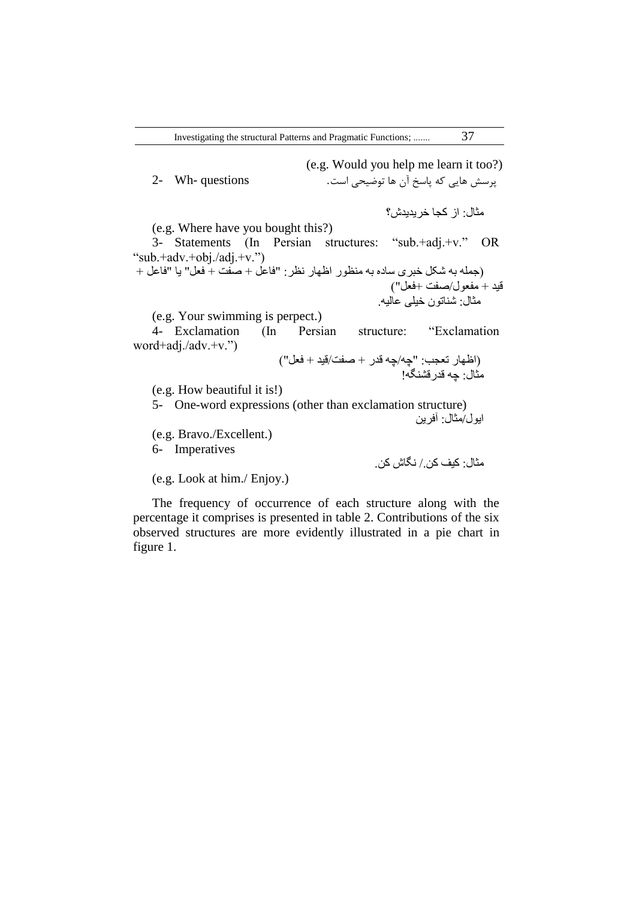|                                                                                   | (e.g. Would you help me learn it too?)    |                          |     |
|-----------------------------------------------------------------------------------|-------------------------------------------|--------------------------|-----|
| 2- Wh-questions                                                                   | پرسش هایی که پاسخ آن ها توضیحی است.       |                          |     |
|                                                                                   |                                           | مثال: از کجا خر بدبدش؟   |     |
| (e.g. Where have you bought this?)                                                |                                           |                          |     |
|                                                                                   |                                           |                          |     |
| 3- Statements (In Persian structures: "sub.+adj.+v."<br>"sub.+adv.+obj./adj.+v.") |                                           |                          | OR. |
| (جمله به شكل خبر ي ساده به منظور اظهار نظر : "فاعل + صفت + فعل" يا "فاعل +        |                                           |                          |     |
|                                                                                   |                                           | قيد + مفعول/صفت +فعل")   |     |
|                                                                                   |                                           |                          |     |
|                                                                                   |                                           | مثال: شناتون خيلي عاليه. |     |
| (e.g. Your swimming is perpect.)                                                  |                                           |                          |     |
| 4- Exclamation (In Persian structure: "Exclamation"                               |                                           |                          |     |
| word+adj./adv.+v.")                                                               |                                           |                          |     |
|                                                                                   | (اظهار تعجب: "چه/چه قدر + صفت/قيد + فعل") |                          |     |
|                                                                                   |                                           |                          |     |
|                                                                                   |                                           | مثال: جه قدر قشنگه!      |     |
| (e.g. How beautiful it is!)                                                       |                                           |                          |     |
| 5- One-word expressions (other than exclamation structure)                        |                                           |                          |     |
|                                                                                   |                                           | ايول/مثال: أفرين         |     |
|                                                                                   |                                           |                          |     |
| (e.g. Bravo./Excellent.)                                                          |                                           |                          |     |
| 6- Imperatives                                                                    |                                           |                          |     |
|                                                                                   |                                           | مثال: كيف كن / نگاش كن.  |     |
| (e.g. Look at him./Enjoy.)                                                        |                                           |                          |     |
|                                                                                   |                                           |                          |     |

The frequency of occurrence of each structure along with the percentage it comprises is presented in table 2. Contributions of the six observed structures are more evidently illustrated in a pie chart in figure 1.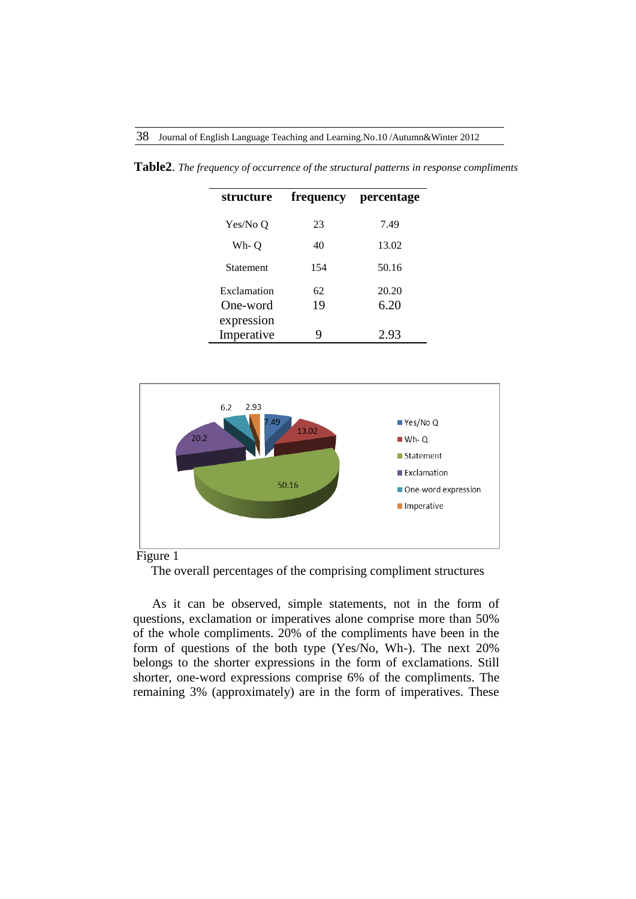| structure   | frequency | percentage |
|-------------|-----------|------------|
| Yes/No O    | 23        | 7.49       |
| Wh-O        | 40        | 13.02      |
| Statement   | 154       | 50.16      |
| Exclamation | 62        | 20.20      |
| One-word    | 19        | 6.20       |
| expression  |           |            |
| Imperative  | 9         | 2.93       |

**Table2**. *The frequency of occurrence of the structural patterns in response compliments*





The overall percentages of the comprising compliment structures

As it can be observed, simple statements, not in the form of questions, exclamation or imperatives alone comprise more than 50% of the whole compliments. 20% of the compliments have been in the form of questions of the both type (Yes/No, Wh-). The next 20% belongs to the shorter expressions in the form of exclamations. Still shorter, one-word expressions comprise 6% of the compliments. The remaining 3% (approximately) are in the form of imperatives. These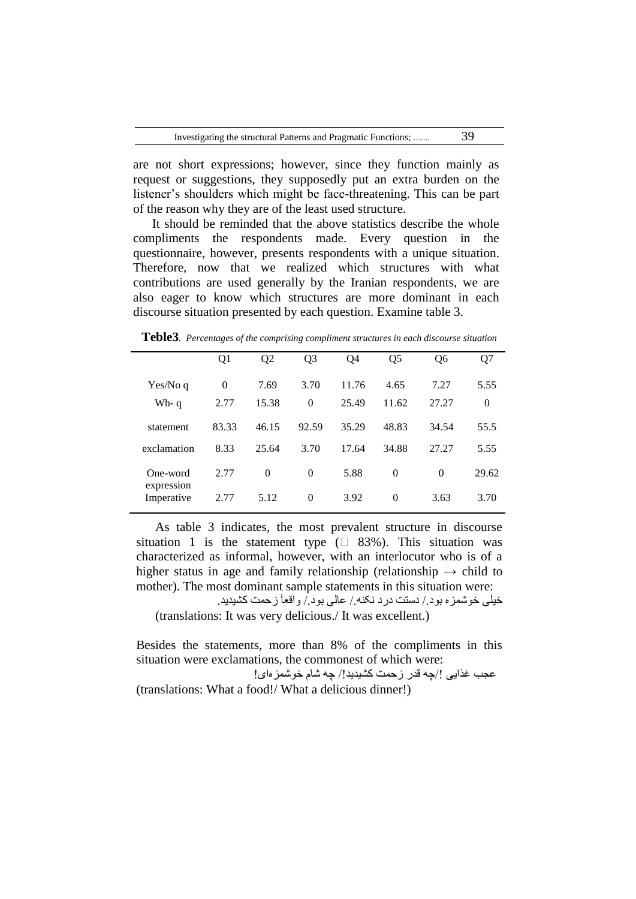are not short expressions; however, since they function mainly as request or suggestions, they supposedly put an extra burden on the listener's shoulders which might be face-threatening. This can be part of the reason why they are of the least used structure.

It should be reminded that the above statistics describe the whole compliments the respondents made. Every question in the questionnaire, however, presents respondents with a unique situation. Therefore, now that we realized which structures with what contributions are used generally by the Iranian respondents, we are also eager to know which structures are more dominant in each discourse situation presented by each question. Examine table 3.

|                          | Q1       | Q <sub>2</sub> | Q <sub>3</sub> | Q4    | Q5       | Q6       | Q7             |
|--------------------------|----------|----------------|----------------|-------|----------|----------|----------------|
| Yes/No q                 | $\theta$ | 7.69           | 3.70           | 11.76 | 4.65     | 7.27     | 5.55           |
| Wh-q                     | 2.77     | 15.38          | $\theta$       | 25.49 | 11.62    | 27.27    | $\overline{0}$ |
| statement                | 83.33    | 46.15          | 92.59          | 35.29 | 48.83    | 34.54    | 55.5           |
| exclamation              | 8.33     | 25.64          | 3.70           | 17.64 | 34.88    | 27.27    | 5.55           |
| One-word                 | 2.77     | $\theta$       | $\Omega$       | 5.88  | $\theta$ | $\Omega$ | 29.62          |
| expression<br>Imperative | 2.77     | 5.12           | $\Omega$       | 3.92  | $\theta$ | 3.63     | 3.70           |

**Teble3***. Percentages of the comprising compliment structures in each discourse situation*

As table 3 indicates, the most prevalent structure in discourse situation 1 is the statement type  $(\Box \ 83\%)$ . This situation was characterized as informal, however, with an interlocutor who is of a higher status in age and family relationship (relationship  $\rightarrow$  child to mother). The most dominant sample statements in this situation were:

خیلی خوشمزه بود/. دستت درد نکنه/. عالی بود/. واقعآ زحمت کشیدید. (translations: It was very delicious./ It was excellent.)

Besides the statements, more than 8% of the compliments in this situation were exclamations, the commonest of which were:

عجب غذایی !/چه قدر زحمت کشیدید!/ چه شام خوشمزهای! (translations: What a food!/ What a delicious dinner!)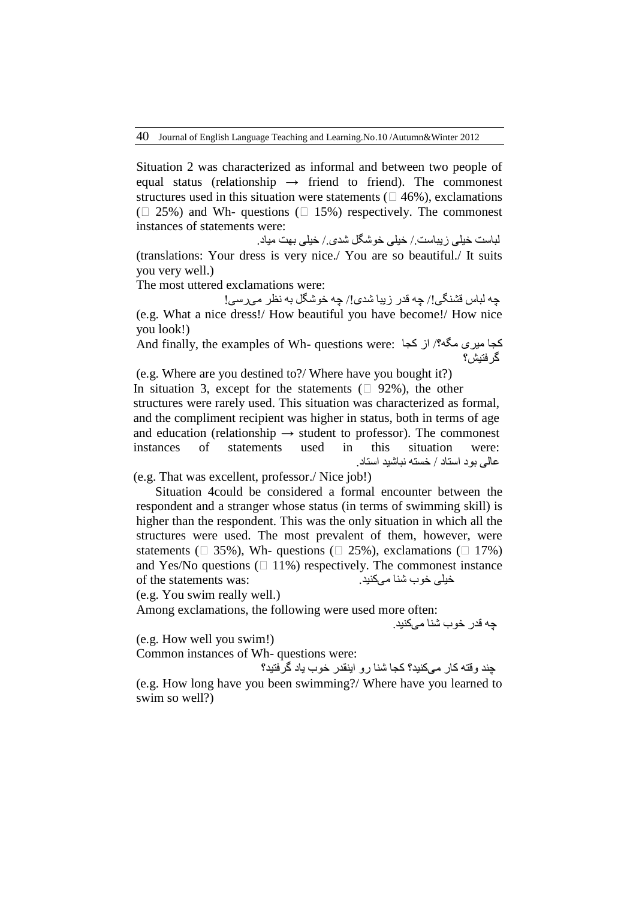Situation 2 was characterized as informal and between two people of equal status (relationship  $\rightarrow$  friend to friend). The commonest structures used in this situation were statements ( $\Box$  46%), exclamations  $(\square$  25%) and Wh- questions ( $\square$  15%) respectively. The commonest instances of statements were:

لباست خیلی زیباست/. خیلی خوشگل شدی/. خیلی بهت میاد. (translations: Your dress is very nice./ You are so beautiful./ It suits you very well.)

The most uttered exclamations were:

چه لباس قشنگی!/ چه قدر زیبا شدی!/ چه خوشگل به نظر میرسی! (e.g. What a nice dress!/ How beautiful you have become!/ How nice you look!)

کجا میری مگه؟/ از کجا :And finally, the examples of Wh- questions were<br>گر فتیش؟ گرفتیش؟

(e.g. Where are you destined to?/ Where have you bought it?) In situation 3, except for the statements  $($  $\Box$  92%), the other

structures were rarely used. This situation was characterized as formal, and the compliment recipient was higher in status, both in terms of age and education (relationship  $\rightarrow$  student to professor). The commonest instances of statements used in this situation were: عالی بود استاد / خسته نباشید استاد.

(e.g. That was excellent, professor./ Nice job!)

Situation 4could be considered a formal encounter between the respondent and a stranger whose status (in terms of swimming skill) is higher than the respondent. This was the only situation in which all the structures were used. The most prevalent of them, however, were statements ( $\Box$  35%), Wh- questions ( $\Box$  25%), exclamations ( $\Box$  17%) and Yes/No questions  $(\square 11\%)$  respectively. The commonest instance خیلی خوب شنا میکنید. : of the statements was

(e.g. You swim really well.)

Among exclamations, the following were used more often:

چه قدر خوب شنا میکنید.

(e.g. How well you swim!)

Common instances of Wh- questions were:

چند وقته کار میکنید؟ کجا شنا رو اینقدر خوب یاد گرفتید؟ (e.g. How long have you been swimming?/ Where have you learned to swim so well?)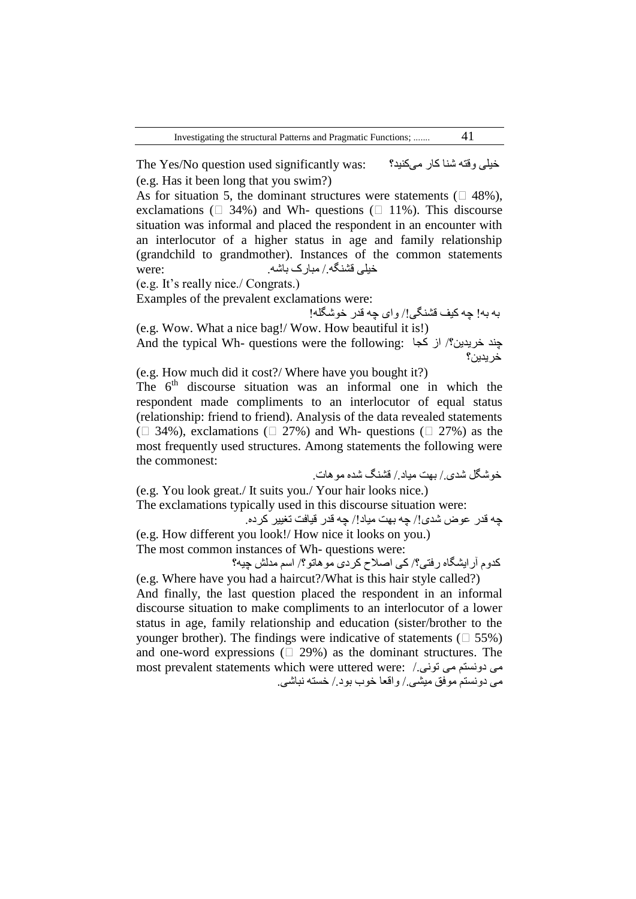The Yes/No question used significantly was: میکنید؟ کار شنا وقته خیلی (e.g. Has it been long that you swim?)

As for situation 5, the dominant structures were statements ( $\Box$  48%), exclamations  $(\Box 34\%)$  and Wh-questions  $(\Box 11\%)$ . This discourse situation was informal and placed the respondent in an encounter with an interlocutor of a higher status in age and family relationship (grandchild to grandmother). Instances of the common statements خیلی قشنگه/. مبارک باشه. :were

(e.g. It's really nice./ Congrats.)

Examples of the prevalent exclamations were:

به به! چه کیف قشنگی!/ وای چه قدر خوشگله! (e.g. Wow. What a nice bag!/ Wow. How beautiful it is!)

And the typical Wh- questions were the following: 'چند خریدین خریدین؟

(e.g. How much did it cost?/ Where have you bought it?)

The  $6<sup>th</sup>$  discourse situation was an informal one in which the respondent made compliments to an interlocutor of equal status (relationship: friend to friend). Analysis of the data revealed statements ( $\Box$  34%), exclamations ( $\Box$  27%) and Wh- questions ( $\Box$  27%) as the most frequently used structures. Among statements the following were the commonest:

خوشگل شدی/. بهت میاد/. قشنگ شده موهات.

(e.g. You look great./ It suits you./ Your hair looks nice.) The exclamations typically used in this discourse situation were:

چه قدر عوض شدی!/ چه بهت میاد!/ چه قدر قیافت تغییر کرده. (e.g. How different you look!/ How nice it looks on you.)

The most common instances of Wh- questions were:

کدوم آرایشگاه رفتی؟/ کی اصالح کردی موهاتو؟/ اسم مدلش چیه؟

(e.g. Where have you had a haircut?/What is this hair style called?) And finally, the last question placed the respondent in an informal discourse situation to make compliments to an interlocutor of a lower status in age, family relationship and education (sister/brother to the younger brother). The findings were indicative of statements  $( \Box 55\%)$ and one-word expressions  $($   $\Box$  29%) as the dominant structures. The most prevalent statements which were uttered were: /.تونی می دونستم می می دونستم موفق میشی/. واقعا خوب بود/. خسته نباشی.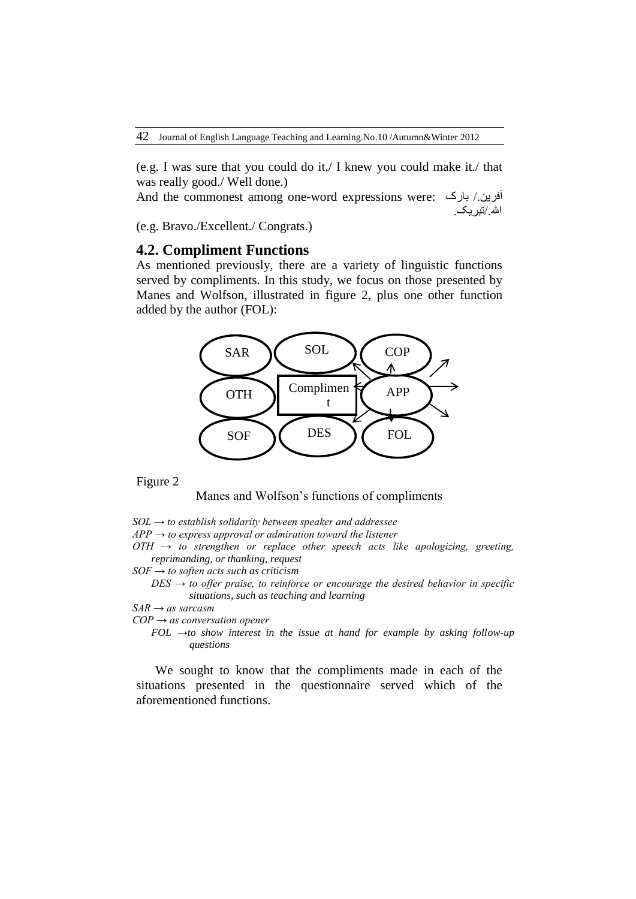(e.g. I was sure that you could do it./ I knew you could make it./ that was really good./ Well done.)

And the commonest among one-word expressions were: بارک /.آفرین الله /تبریک.

(e.g. Bravo./Excellent./ Congrats.)

## **4.2. Compliment Functions**

As mentioned previously, there are a variety of linguistic functions served by compliments. In this study, we focus on those presented by Manes and Wolfson, illustrated in figure 2, plus one other function added by the author (FOL):



#### Figure 2

#### Manes and Wolfson's functions of compliments

*SOL → to establish solidarity between speaker and addressee*

*APP → to express approval or admiration toward the listener* 

*OTH → to strengthen or replace other speech acts like apologizing, greeting, reprimanding, or thanking, request*

*SOF → to soften acts such as criticism* 

 $DES \rightarrow$  to offer praise, to reinforce or encourage the desired behavior in specific *situations, such as teaching and learning*

*SAR → as sarcasm*

*COP → as conversation opener*

*FOL →to show interest in the issue at hand for example by asking follow-up questions*

We sought to know that the compliments made in each of the situations presented in the questionnaire served which of the aforementioned functions.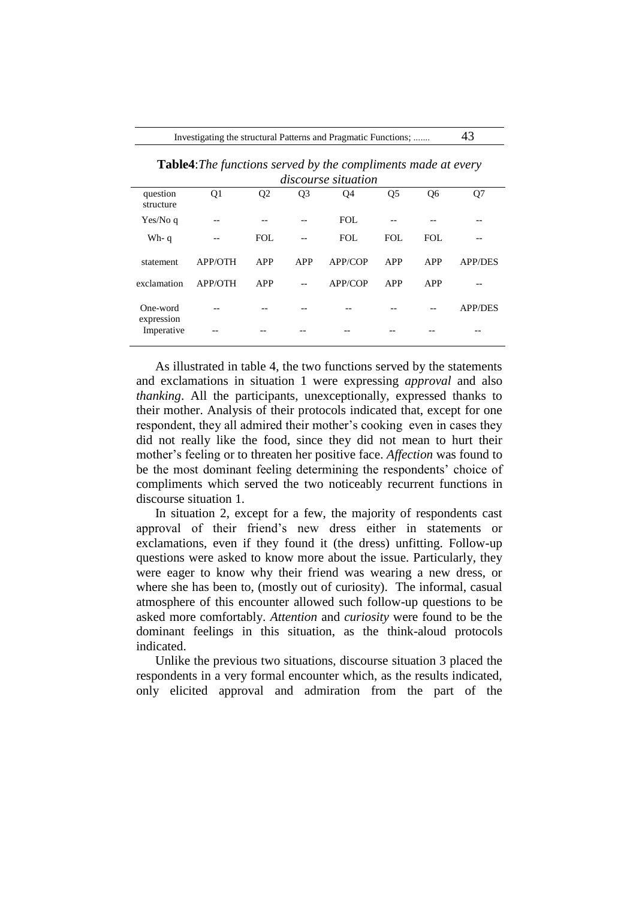Investigating the structural Patterns and Pragmatic Functions; ....... 43

**Table4**:*The functions served by the compliments made at every discourse situation*

| uwww.se-summon         |                |                |                   |            |                |                |                |
|------------------------|----------------|----------------|-------------------|------------|----------------|----------------|----------------|
| question<br>structure  | Q1             | Q <sub>2</sub> | Q <sub>3</sub>    | Q4         | Q <sub>5</sub> | Q <sub>6</sub> | Q7             |
| Yes/No q               |                |                |                   | <b>FOL</b> | --             |                |                |
| Wh-q                   |                | <b>FOL</b>     | $\qquad \qquad -$ | <b>FOL</b> | <b>FOL</b>     | <b>FOL</b>     |                |
| statement              | <b>APP/OTH</b> | APP            | APP               | APP/COP    | APP            | APP            | <b>APP/DES</b> |
| exclamation            | <b>APP/OTH</b> | APP            | $- -$             | APP/COP    | APP            | APP            |                |
| One-word<br>expression |                |                |                   |            |                | --             | <b>APP/DES</b> |
| Imperative             |                |                |                   |            |                |                |                |

As illustrated in table 4, the two functions served by the statements and exclamations in situation 1 were expressing *approval* and also *thanking*. All the participants, unexceptionally, expressed thanks to their mother. Analysis of their protocols indicated that, except for one respondent, they all admired their mother's cooking even in cases they did not really like the food, since they did not mean to hurt their mother's feeling or to threaten her positive face. *Affection* was found to be the most dominant feeling determining the respondents' choice of compliments which served the two noticeably recurrent functions in discourse situation 1.

In situation 2, except for a few, the majority of respondents cast approval of their friend's new dress either in statements or exclamations, even if they found it (the dress) unfitting. Follow-up questions were asked to know more about the issue. Particularly, they were eager to know why their friend was wearing a new dress, or where she has been to, (mostly out of curiosity). The informal, casual atmosphere of this encounter allowed such follow-up questions to be asked more comfortably. *Attention* and *curiosity* were found to be the dominant feelings in this situation, as the think-aloud protocols indicated.

Unlike the previous two situations, discourse situation 3 placed the respondents in a very formal encounter which, as the results indicated, only elicited approval and admiration from the part of the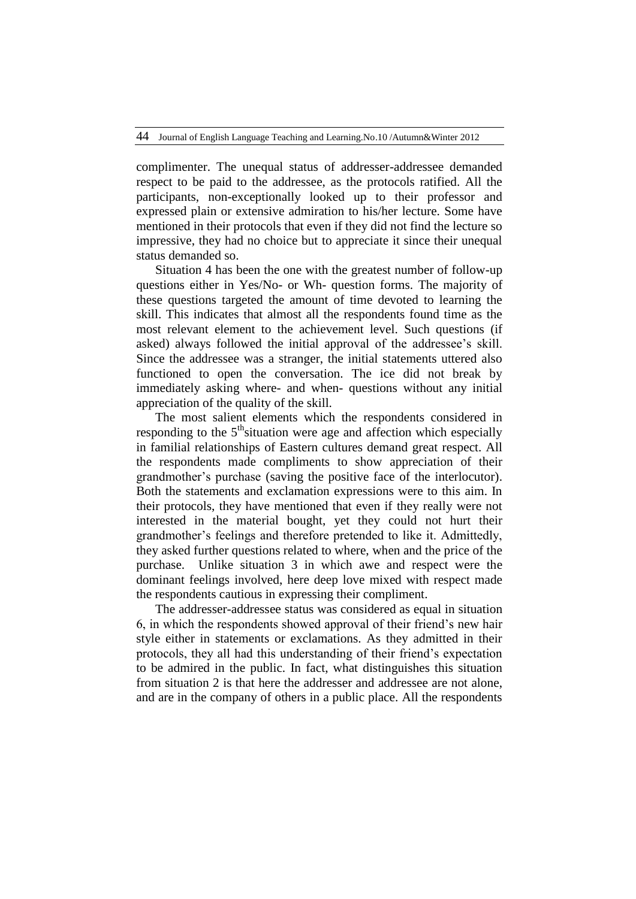complimenter. The unequal status of addresser-addressee demanded respect to be paid to the addressee, as the protocols ratified. All the participants, non-exceptionally looked up to their professor and expressed plain or extensive admiration to his/her lecture. Some have mentioned in their protocols that even if they did not find the lecture so impressive, they had no choice but to appreciate it since their unequal status demanded so.

Situation 4 has been the one with the greatest number of follow-up questions either in Yes/No- or Wh- question forms. The majority of these questions targeted the amount of time devoted to learning the skill. This indicates that almost all the respondents found time as the most relevant element to the achievement level. Such questions (if asked) always followed the initial approval of the addressee's skill. Since the addressee was a stranger, the initial statements uttered also functioned to open the conversation. The ice did not break by immediately asking where- and when- questions without any initial appreciation of the quality of the skill.

The most salient elements which the respondents considered in responding to the  $5<sup>th</sup>$ situation were age and affection which especially in familial relationships of Eastern cultures demand great respect. All the respondents made compliments to show appreciation of their grandmother's purchase (saving the positive face of the interlocutor). Both the statements and exclamation expressions were to this aim. In their protocols, they have mentioned that even if they really were not interested in the material bought, yet they could not hurt their grandmother's feelings and therefore pretended to like it. Admittedly, they asked further questions related to where, when and the price of the purchase. Unlike situation 3 in which awe and respect were the dominant feelings involved, here deep love mixed with respect made the respondents cautious in expressing their compliment.

The addresser-addressee status was considered as equal in situation 6, in which the respondents showed approval of their friend's new hair style either in statements or exclamations. As they admitted in their protocols, they all had this understanding of their friend's expectation to be admired in the public. In fact, what distinguishes this situation from situation 2 is that here the addresser and addressee are not alone, and are in the company of others in a public place. All the respondents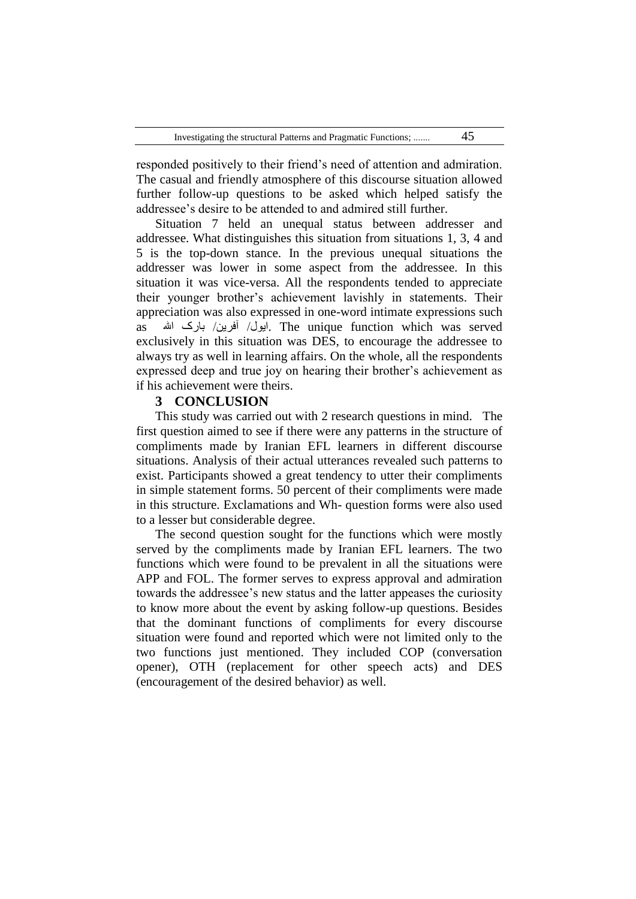responded positively to their friend's need of attention and admiration. The casual and friendly atmosphere of this discourse situation allowed further follow-up questions to be asked which helped satisfy the addressee's desire to be attended to and admired still further.

Situation 7 held an unequal status between addresser and addressee. What distinguishes this situation from situations 1, 3, 4 and 5 is the top-down stance. In the previous unequal situations the addresser was lower in some aspect from the addressee. In this situation it was vice-versa. All the respondents tended to appreciate their younger brother's achievement lavishly in statements. Their appreciation was also expressed in one-word intimate expressions such as اهلل بارک /آفرین /ایول. The unique function which was served exclusively in this situation was DES, to encourage the addressee to always try as well in learning affairs. On the whole, all the respondents expressed deep and true joy on hearing their brother's achievement as if his achievement were theirs.

#### **3 CONCLUSION**

This study was carried out with 2 research questions in mind. The first question aimed to see if there were any patterns in the structure of compliments made by Iranian EFL learners in different discourse situations. Analysis of their actual utterances revealed such patterns to exist. Participants showed a great tendency to utter their compliments in simple statement forms. 50 percent of their compliments were made in this structure. Exclamations and Wh- question forms were also used to a lesser but considerable degree.

The second question sought for the functions which were mostly served by the compliments made by Iranian EFL learners. The two functions which were found to be prevalent in all the situations were APP and FOL. The former serves to express approval and admiration towards the addressee's new status and the latter appeases the curiosity to know more about the event by asking follow-up questions. Besides that the dominant functions of compliments for every discourse situation were found and reported which were not limited only to the two functions just mentioned. They included COP (conversation opener), OTH (replacement for other speech acts) and DES (encouragement of the desired behavior) as well.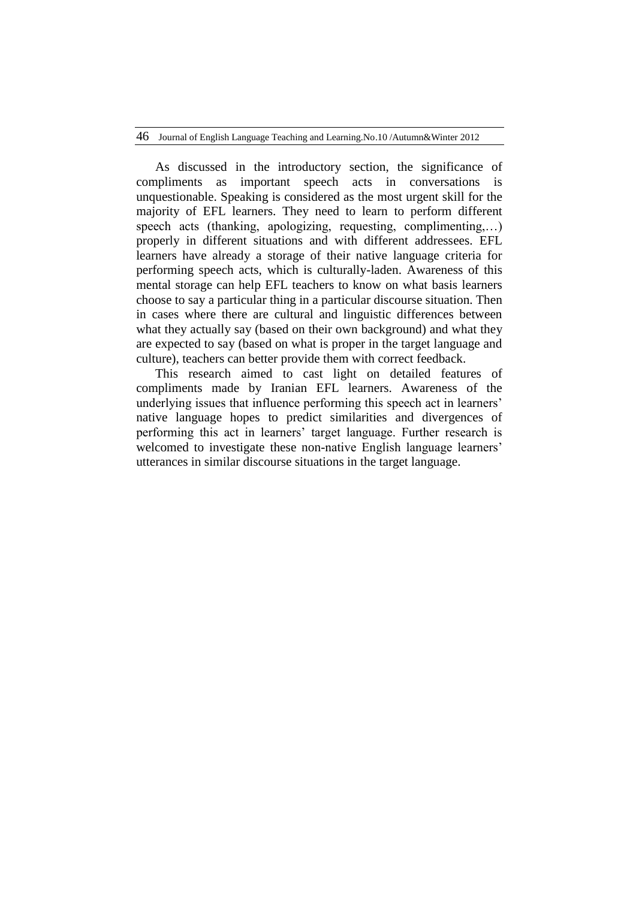As discussed in the introductory section, the significance of compliments as important speech acts in conversations is unquestionable. Speaking is considered as the most urgent skill for the majority of EFL learners. They need to learn to perform different speech acts (thanking, apologizing, requesting, complimenting,…) properly in different situations and with different addressees. EFL learners have already a storage of their native language criteria for performing speech acts, which is culturally-laden. Awareness of this mental storage can help EFL teachers to know on what basis learners choose to say a particular thing in a particular discourse situation. Then in cases where there are cultural and linguistic differences between what they actually say (based on their own background) and what they are expected to say (based on what is proper in the target language and culture), teachers can better provide them with correct feedback.

This research aimed to cast light on detailed features of compliments made by Iranian EFL learners. Awareness of the underlying issues that influence performing this speech act in learners' native language hopes to predict similarities and divergences of performing this act in learners' target language. Further research is welcomed to investigate these non-native English language learners' utterances in similar discourse situations in the target language.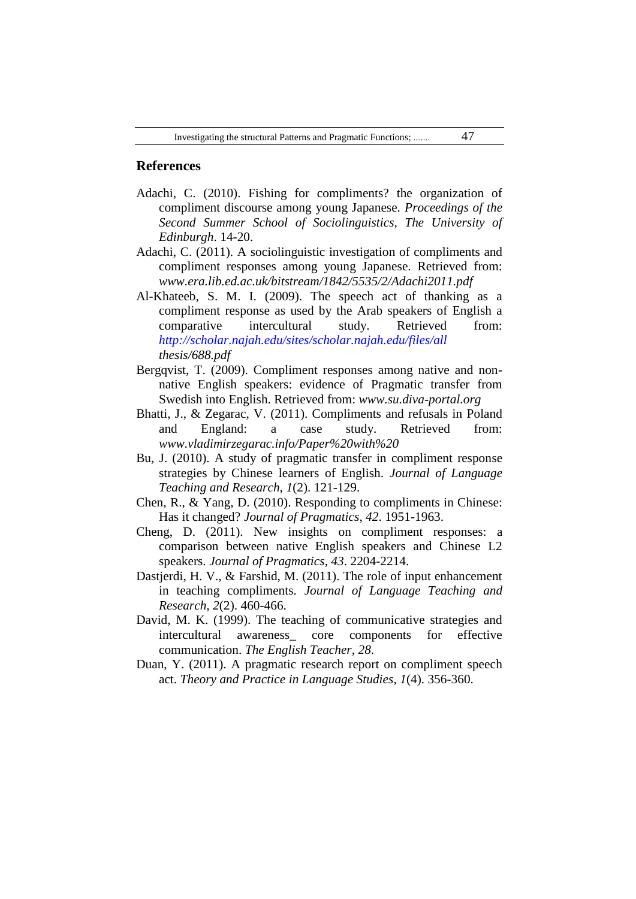## **References**

- Adachi, C. (2010). Fishing for compliments? the organization of compliment discourse among young Japanese. *Proceedings of the Second Summer School of Sociolinguistics, The University of Edinburgh*. 14-20.
- Adachi, C. (2011). A sociolinguistic investigation of compliments and compliment responses among young Japanese. Retrieved from: *www.era.lib.ed.ac.uk/bitstream/1842/5535/2/Adachi2011.pdf*
- Al-Khateeb, S. M. I. (2009). The speech act of thanking as a compliment response as used by the Arab speakers of English a comparative intercultural study. Retrieved from: *<http://scholar.najah.edu/sites/scholar.najah.edu/files/all> thesis/688.pdf*
- Bergqvist, T. (2009). Compliment responses among native and nonnative English speakers: evidence of Pragmatic transfer from Swedish into English. Retrieved from: *www.su.diva-portal.org*
- Bhatti, J., & Zegarac, V. (2011). Compliments and refusals in Poland and England: a case study. Retrieved from: *www.vladimirzegarac.info/Paper%20with%20*
- Bu, J. (2010). A study of pragmatic transfer in compliment response strategies by Chinese learners of English. *Journal of Language Teaching and Research*, *1*(2). 121-129.
- Chen, R., & Yang, D. (2010). Responding to compliments in Chinese: Has it changed? *Journal of Pragmatics*, *42*. 1951-1963.
- Cheng, D. (2011). New insights on compliment responses: a comparison between native English speakers and Chinese L2 speakers. *Journal of Pragmatics*, *43*. 2204-2214.
- Dastjerdi, H. V., & Farshid, M. (2011). The role of input enhancement in teaching compliments. *Journal of Language Teaching and Research, 2*(2). 460-466.
- David, M. K. (1999). The teaching of communicative strategies and intercultural awareness\_ core components for effective communication. *The English Teacher*, *28*.
- Duan, Y. (2011). A pragmatic research report on compliment speech act. *Theory and Practice in Language Studies*, *1*(4). 356-360.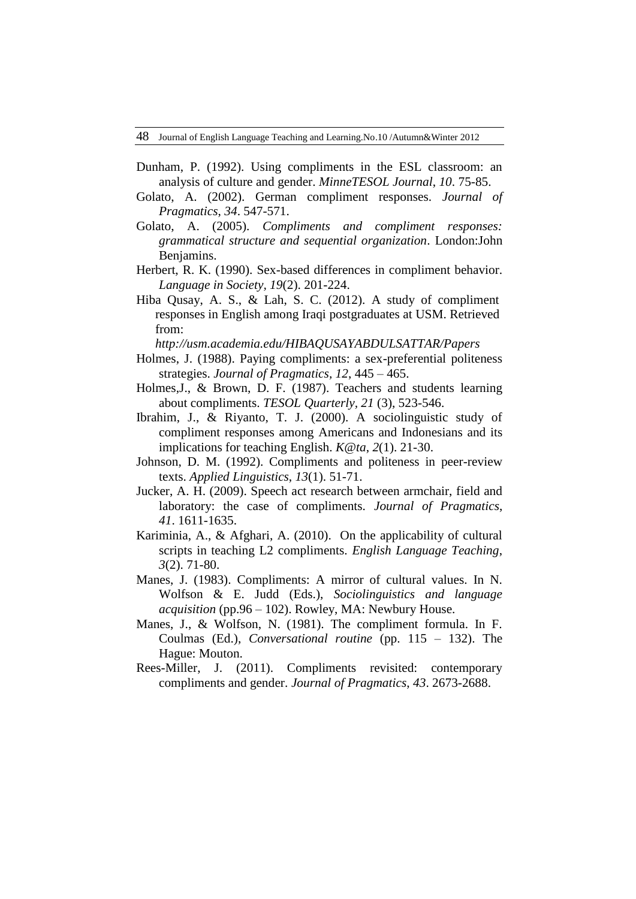- Dunham, P. (1992). Using compliments in the ESL classroom: an analysis of culture and gender. *MinneTESOL Journal*, *10*. 75-85.
- Golato, A. (2002). German compliment responses. *Journal of Pragmatics*, *34*. 547-571.
- Golato, A. (2005). *Compliments and compliment responses: grammatical structure and sequential organization*. London:John Benjamins.
- Herbert, R. K. (1990). Sex-based differences in compliment behavior. *Language in Society, 19*(2). 201-224.
- Hiba Qusay, A. S., & Lah, S. C. (2012). A study of compliment responses in English among Iraqi postgraduates at USM. Retrieved from:

*http://usm.academia.edu/HIBAQUSAYABDULSATTAR/Papers*

- Holmes, J. (1988). Paying compliments: a sex-preferential politeness strategies. *Journal of Pragmatics, 12*, 445 – 465.
- Holmes,J., & Brown, D. F. (1987). Teachers and students learning about compliments. *TESOL Quarterly, 21* (3), 523-546.
- Ibrahim, J., & Riyanto, T. J. (2000). A sociolinguistic study of compliment responses among Americans and Indonesians and its implications for teaching English. *K@ta*, *2*(1). 21-30.
- Johnson, D. M. (1992). Compliments and politeness in peer-review texts. *Applied Linguistics*, *13*(1). 51-71.
- Jucker, A. H. (2009). Speech act research between armchair, field and laboratory: the case of compliments. *Journal of Pragmatics*, *41*. 1611-1635.
- Kariminia, A., & Afghari, A. (2010). On the applicability of cultural scripts in teaching L2 compliments. *English Language Teaching*, *3*(2). 71-80.
- Manes, J. (1983). Compliments: A mirror of cultural values. In N. Wolfson & E. Judd (Eds.), *Sociolinguistics and language acquisition* (pp.96 – 102). Rowley, MA: Newbury House.
- Manes, J., & Wolfson, N. (1981). The compliment formula. In F. Coulmas (Ed.), *Conversational routine* (pp. 115 – 132). The Hague: Mouton.
- Rees-Miller, J. (2011). Compliments revisited: contemporary compliments and gender. *Journal of Pragmatics*, *43*. 2673-2688.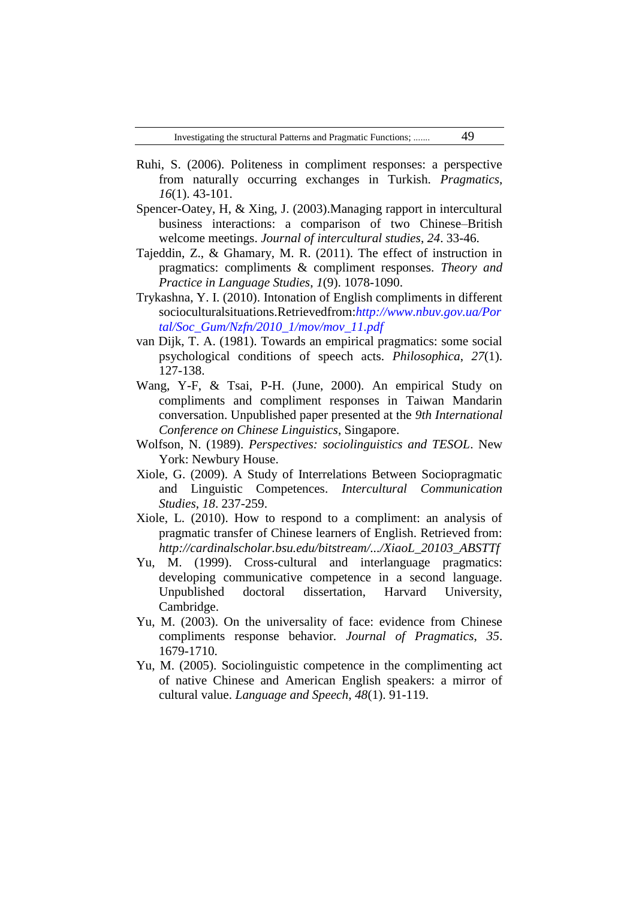- Ruhi, S. (2006). Politeness in compliment responses: a perspective from naturally occurring exchanges in Turkish. *Pragmatics*, *16*(1). 43-101.
- Spencer-Oatey, H, & Xing, J. (2003).Managing rapport in intercultural business interactions: a comparison of two Chinese–British welcome meetings. *Journal of intercultural studies*, *24*. 33-46.
- Tajeddin, Z., & Ghamary, M. R. (2011). The effect of instruction in pragmatics: compliments & compliment responses. *Theory and Practice in Language Studies*, *1*(9). 1078-1090.
- Trykashna, Y. I. (2010). Intonation of English compliments in different socioculturalsituations.Retrievedfrom:*[http://www.nbuv.gov.ua/Por](http://www.nbuv.gov.ua/Portal/Soc_Gum/Nzfn/2010_1/mov/mov_11.pdf) [tal/Soc\\_Gum/Nzfn/2010\\_1/mov/mov\\_11.pdf](http://www.nbuv.gov.ua/Portal/Soc_Gum/Nzfn/2010_1/mov/mov_11.pdf)*
- van Dijk, T. A. (1981). Towards an empirical pragmatics: some social psychological conditions of speech acts. *Philosophica*, *27*(1). 127-138.
- Wang, Y-F, & Tsai, P-H. (June, 2000). An empirical Study on compliments and compliment responses in Taiwan Mandarin conversation. Unpublished paper presented at the *9th International Conference on Chinese Linguistics*, Singapore.
- Wolfson, N. (1989). *Perspectives: sociolinguistics and TESOL*. New York: Newbury House.
- Xiole, G. (2009). A Study of Interrelations Between Sociopragmatic and Linguistic Competences. *Intercultural Communication Studies*, *18*. 237-259.
- Xiole, L. (2010). How to respond to a compliment: an analysis of pragmatic transfer of Chinese learners of English. Retrieved from: *http://cardinalscholar.bsu.edu/bitstream/.../XiaoL\_20103\_ABSTTf*
- Yu, M. (1999). Cross-cultural and interlanguage pragmatics: developing communicative competence in a second language. Unpublished doctoral dissertation, Harvard University, Cambridge.
- Yu, M. (2003). On the universality of face: evidence from Chinese compliments response behavior*. Journal of Pragmatics*, *35*. 1679-1710.
- Yu, M. (2005). Sociolinguistic competence in the complimenting act of native Chinese and American English speakers: a mirror of cultural value. *Language and Speech*, *48*(1). 91-119.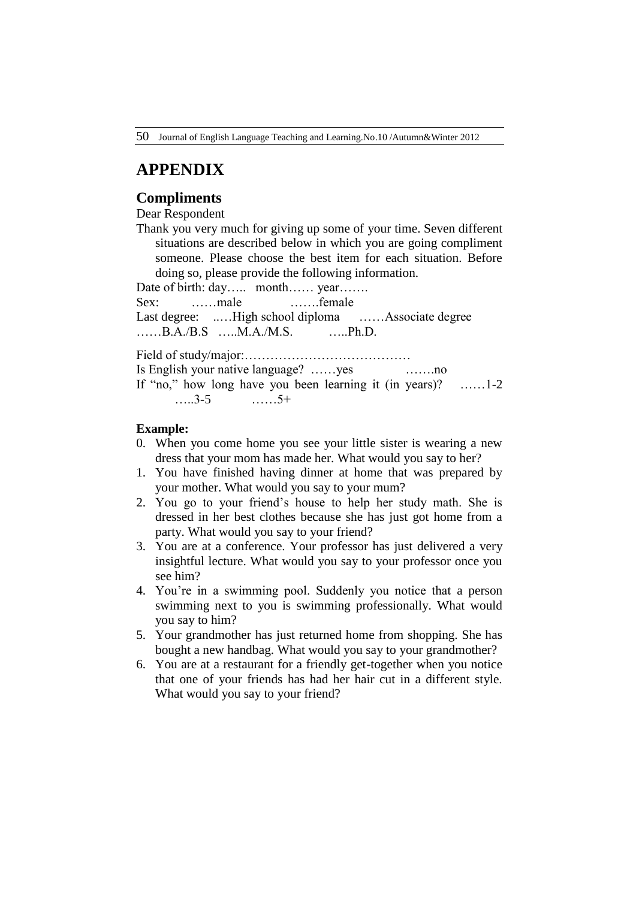50 Journal of English Language Teaching and Learning.No.10 /Autumn&Winter 2012

# **APPENDIX**

## **Compliments**

Dear Respondent

Thank you very much for giving up some of your time. Seven different situations are described below in which you are going compliment someone. Please choose the best item for each situation. Before doing so, please provide the following information.

Date of birth: day….. month…… year…….

Sex: ……male …….female

Last degree: ..... High school diploma ...... Associate degree ……B.A./B.S …..M.A./M.S. …..Ph.D.

Field of study/major:…………………………………

Is English your native language? ……yes …….no

If "no," how long have you been learning it (in years)? ……1-2 …..3-5 ……5+

## **Example:**

- 0. When you come home you see your little sister is wearing a new dress that your mom has made her. What would you say to her?
- 1. You have finished having dinner at home that was prepared by your mother. What would you say to your mum?
- 2. You go to your friend's house to help her study math. She is dressed in her best clothes because she has just got home from a party. What would you say to your friend?
- 3. You are at a conference. Your professor has just delivered a very insightful lecture. What would you say to your professor once you see him?
- 4. You're in a swimming pool. Suddenly you notice that a person swimming next to you is swimming professionally. What would you say to him?
- 5. Your grandmother has just returned home from shopping. She has bought a new handbag. What would you say to your grandmother?
- 6. You are at a restaurant for a friendly get-together when you notice that one of your friends has had her hair cut in a different style. What would you say to your friend?